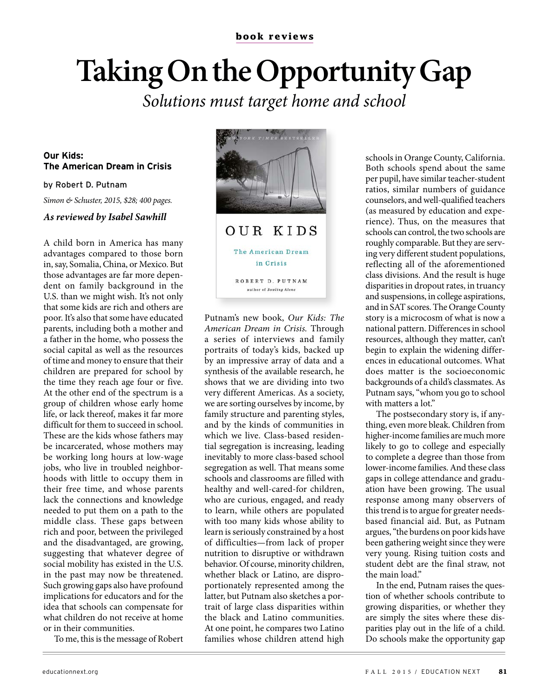# **Taking On the Opportunity Gap**

Solutions must target home and school

### **Our Kids: The American Dream in Crisis**

by Robert D. Putnam

Simon & Schuster, 2015, \$28; 400 pages.

#### **As reviewed by Isabel Sawhill**

A child born in America has many advantages compared to those born in, say, Somalia, China, or Mexico. But those advantages are far more dependent on family background in the U.S. than we might wish. It's not only that some kids are rich and others are poor. It's also that some have educated parents, including both a mother and a father in the home, who possess the social capital as well as the resources of time and money to ensure that their children are prepared for school by the time they reach age four or five. At the other end of the spectrum is a group of children whose early home life, or lack thereof, makes it far more difficult for them to succeed in school. These are the kids whose fathers may be incarcerated, whose mothers may be working long hours at low-wage jobs, who live in troubled neighborhoods with little to occupy them in their free time, and whose parents lack the connections and knowledge needed to put them on a path to the middle class. These gaps between rich and poor, between the privileged and the disadvantaged, are growing, suggesting that whatever degree of social mobility has existed in the U.S. in the past may now be threatened. Such growing gaps also have profound implications for educators and for the idea that schools can compensate for what children do not receive at home or in their communities.

To me, this is the message of Robert



Putnam's new book, Our Kids: The American Dream in Crisis. Through a series of interviews and family portraits of today's kids, backed up by an impressive array of data and a synthesis of the available research, he shows that we are dividing into two very different Americas. As a society, we are sorting ourselves by income, by family structure and parenting styles, and by the kinds of communities in which we live. Class-based residential segregation is increasing, leading inevitably to more class-based school segregation as well. That means some schools and classrooms are filled with healthy and well-cared-for children, who are curious, engaged, and ready to learn, while others are populated with too many kids whose ability to learn is seriously constrained by a host of difficulties—from lack of proper nutrition to disruptive or withdrawn behavior. Of course, minority children, whether black or Latino, are disproportionately represented among the latter, but Putnam also sketches a portrait of large class disparities within the black and Latino communities. At one point, he compares two Latino families whose children attend high

schools in Orange County, California. Both schools spend about the same per pupil, have similar teacher-student ratios, similar numbers of guidance counselors, and well-qualified teachers (as measured by education and experience). Thus, on the measures that schools can control, the two schools are roughly comparable. But they are serving very different student populations, reflecting all of the aforementioned class divisions. And the result is huge disparities in dropout rates, in truancy and suspensions, in college aspirations, and in SAT scores. The Orange County story is a microcosm of what is now a national pattern. Differences in school resources, although they matter, can't begin to explain the widening differences in educational outcomes. What does matter is the socioeconomic backgrounds of a child's classmates. As Putnam says, "whom you go to school with matters a lot."

The postsecondary story is, if anything, even more bleak. Children from higher-income families are much more likely to go to college and especially to complete a degree than those from lower-income families. And these class gaps in college attendance and graduation have been growing. The usual response among many observers of this trend is to argue for greater needsbased financial aid. But, as Putnam argues, "the burdens on poor kids have been gathering weight since they were very young. Rising tuition costs and student debt are the final straw, not the main load."

In the end, Putnam raises the question of whether schools contribute to growing disparities, or whether they are simply the sites where these disparities play out in the life of a child. Do schools make the opportunity gap